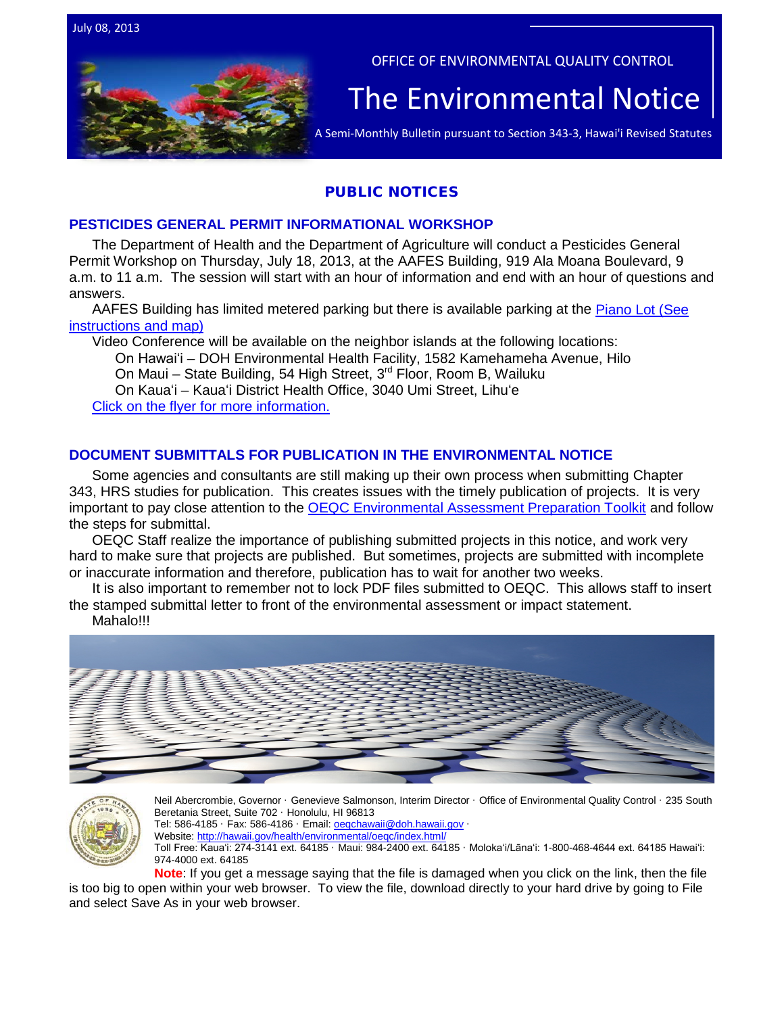OFFICE OF ENVIRONMENTAL QUALITY CONTROL The  $\overline{\mathsf{Environmental}{}{\sf{Notice}}\,|\,$ 

## PUBLIC NOTICES

### **PESTICIDES GENERAL PERMIT INFORMATIONAL WORKSHOP**

The Department of Health and the Department of Agriculture will conduct a Pesticides General Permit Workshop on Thursday, July 18, 2013, at the AAFES Building, 919 Ala Moana Boulevard, 9 a.m. to 11 a.m. The session will start with an hour of information and end with an hour of questions and answers.

AAFES Building has limited metered parking but there is available parking at the Piano Lot (See [instructions and map\)](http://oeqc.doh.hawaii.gov/Shared%20Documents/EA_and_EIS_Online_Library/Non-343-EA-EIS-Notices/2013-07-08-Pesticides-General-Permit-Informational-Workshop-Flyer.pdf)

Video Conference will be available on the neighbor islands at the following locations:

On Hawaiʻi – DOH Environmental Health Facility, 1582 Kamehameha Avenue, Hilo

On Maui – State Building, 54 High Street,  $3^{rd}$  Floor, Room B, Wailuku

On Kauaʻi – Kauaʻi District Health Office, 3040 Umi Street, Lihuʻe [Click on the flyer for more information.](http://oeqc.doh.hawaii.gov/Shared%20Documents/EA_and_EIS_Online_Library/Non-343-EA-EIS-Notices/2013-07-08-Pesticides-General-Permit-Informational-Workshop-Flyer.pdf)

## **DOCUMENT SUBMITTALS FOR PUBLICATION IN THE ENVIRONMENTAL NOTICE**

Some agencies and consultants are still making up their own process when submitting Chapter 343, HRS studies for publication. This creates issues with the timely publication of projects. It is very important to pay close attention to the [OEQC Environmental Assessment Preparation Toolkit](http://oeqc.doh.hawaii.gov/Shared%20Documents/Forms/AllItems.aspx?RootFolder=%2fShared%20Documents%2fPreparation%5fof%5fHawaii%5fEnvironmental%5fPolicy%5fAct%5fDocuments&View=%7bC0C5C897%2d3066%2d4821%2d864E%2d36FB3D77F5D5%7d) and follow the steps for submittal.

OEQC Staff realize the importance of publishing submitted projects in this notice, and work very hard to make sure that projects are published. But sometimes, projects are submitted with incomplete or inaccurate information and therefore, publication has to wait for another two weeks.

It is also important to remember not to lock PDF files submitted to OEQC. This allows staff to insert the stamped submittal letter to front of the environmental assessment or impact statement.

Mahalo!!!





Neil Abercrombie, Governor · Genevieve Salmonson, Interim Director · Office of Environmental Quality Control · 235 South Beretania Street, Suite 702 · Honolulu, HI 96813

Tel: 586-4185 · Fax: 586-4186 · Email: oegchawaii@doh.hawaii.gov ·

Website:<http://hawaii.gov/health/environmental/oeqc/index.html/>

Toll Free: Kauaʻi: 274-3141 ext. 64185 · Maui: 984-2400 ext. 64185 · Molokaʻi/Lānaʻi: 1-800-468-4644 ext. 64185 Hawaiʻi: 974-4000 ext. 64185

**Note**: If you get a message saying that the file is damaged when you click on the link, then the file is too big to open within your web browser. To view the file, download directly to your hard drive by going to File and select Save As in your web browser.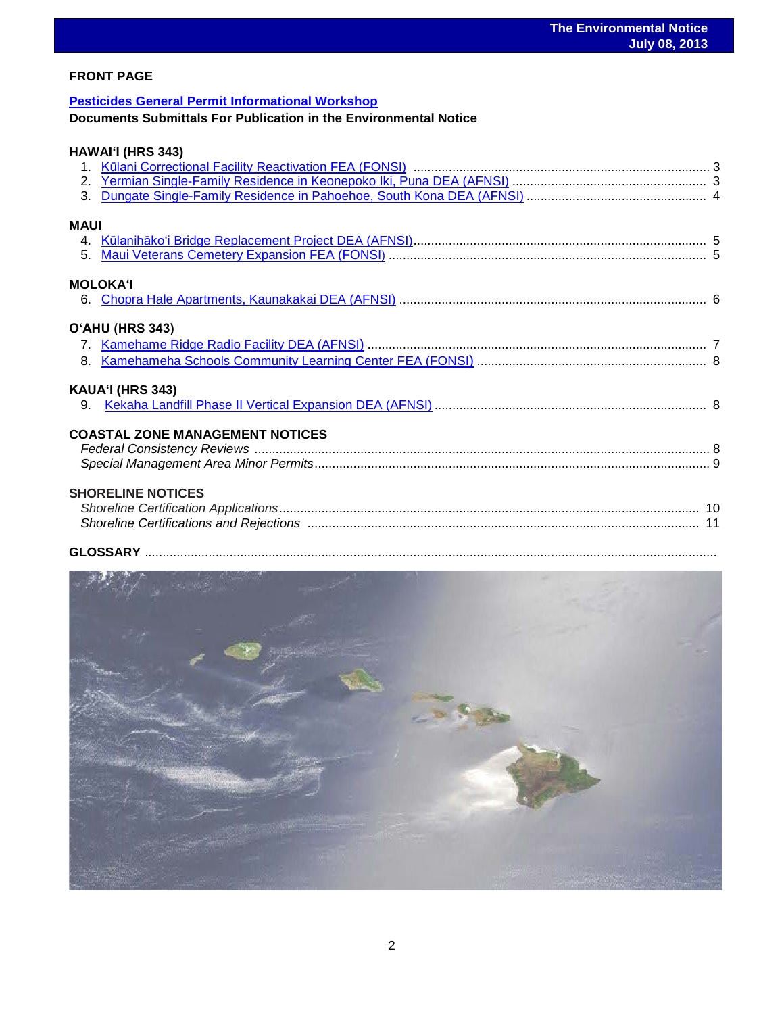### **FRONT PAGE**

## **[Pesticides General Permit Informational Workshop](http://oeqc.doh.hawaii.gov/Shared%20Documents/EA_and_EIS_Online_Library/Non-343-EA-EIS-Notices/2013-07-08-Pesticides-General-Permit-Informational-Workshop-Flyer.pdf)**

**Documents Submittals For Publication in the Environmental Notice** 

## **HAWAIʻI (HRS 343)**

| <b>MAUI</b> |                                        |  |
|-------------|----------------------------------------|--|
|             |                                        |  |
|             |                                        |  |
|             | <b>MOLOKAʻI</b>                        |  |
|             |                                        |  |
|             |                                        |  |
|             | O'AHU (HRS 343)                        |  |
|             |                                        |  |
|             |                                        |  |
|             | KAUA'I (HRS 343)                       |  |
|             |                                        |  |
|             |                                        |  |
|             | <b>COASTAL ZONE MANAGEMENT NOTICES</b> |  |
|             |                                        |  |
|             |                                        |  |
|             | <b>SHORELINE NOTICES</b>               |  |
|             |                                        |  |
|             |                                        |  |
|             | <b>CLOCCADY</b>                        |  |

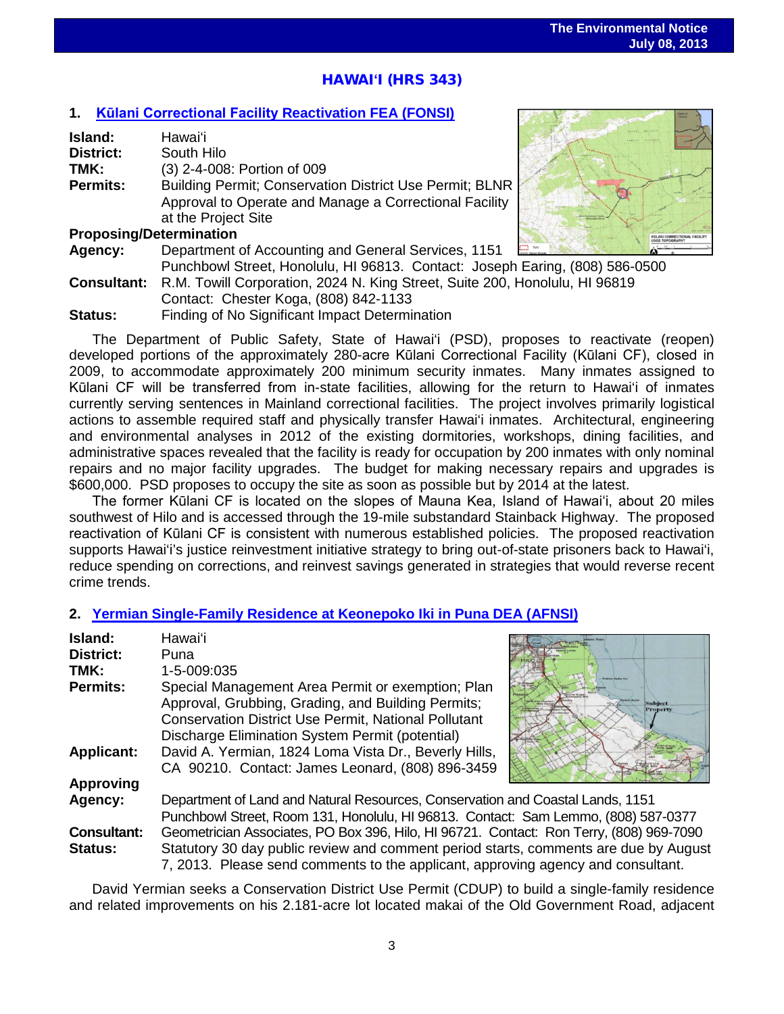# ֖֖֦֧֧֦֧֚֚֚֚֚֚֚֚֚֚֚֚֚֚֬֡֡֡֡֡֞֡֡֡֡֬֡֡֡֬֡֡֡֬ HAWAI**ʻ**I (HRS 343)

## **1. [Kūlani Correctional Facility](http://oeqc.doh.hawaii.gov/Shared%20Documents/EA_and_EIS_Online_Library/Hawaii/2010s/2013-07-08-HI-5B-FEA-Kulani-Correction-Facility-Reactivation.pdf) Reactivation FEA (FONSI)**

| Island:                        | Hawaiʻi                                                                     |  |
|--------------------------------|-----------------------------------------------------------------------------|--|
| <b>District:</b>               | South Hilo                                                                  |  |
| TMK:                           | (3) 2-4-008: Portion of 009                                                 |  |
| <b>Permits:</b>                | Building Permit; Conservation District Use Permit; BLNR                     |  |
|                                | Approval to Operate and Manage a Correctional Facility                      |  |
|                                | at the Project Site                                                         |  |
| <b>Proposing/Determination</b> |                                                                             |  |
| Agency:                        | Department of Accounting and General Services, 1151                         |  |
|                                | Punchbowl Street, Honolulu, HI 96813. Contact: Joseph Earing, (808) 586-0   |  |
| <b>Consultant:</b>             | R.M. Towill Corporation, 2024 N. King Street, Suite 200, Honolulu, HI 96819 |  |
|                                | Contact: Chester Koga, (808) 842-1133                                       |  |

**Status:** Finding of No Significant Impact Determination

The Department of Public Safety, State of Hawai'i (PSD), proposes to reactivate (reopen) developed portions of the approximately 280-acre Kūlani Correctional Facility (Kūlani CF), closed in 2009, to accommodate approximately 200 minimum security inmates. Many inmates assigned to Kūlani CF will be transferred from in-state facilities, allowing for the return to Hawai'i of inmates currently serving sentences in Mainland correctional facilities. The project involves primarily logistical actions to assemble required staff and physically transfer Hawai'i inmates. Architectural, engineering and environmental analyses in 2012 of the existing dormitories, workshops, dining facilities, and administrative spaces revealed that the facility is ready for occupation by 200 inmates with only nominal repairs and no major facility upgrades. The budget for making necessary repairs and upgrades is \$600,000. PSD proposes to occupy the site as soon as possible but by 2014 at the latest.

The former Kūlani CF is located on the slopes of Mauna Kea, Island of Hawai'i, about 20 miles southwest of Hilo and is accessed through the 19-mile substandard Stainback Highway. The proposed reactivation of Kūlani CF is consistent with numerous established policies. The proposed reactivation supports Hawai'i's justice reinvestment initiative strategy to bring out-of-state prisoners back to Hawai'i, reduce spending on corrections, and reinvest savings generated in strategies that would reverse recent crime trends.

## **2. [Yermian Single-Family Residence at](http://oeqc.doh.hawaii.gov/Shared%20Documents/EA_and_EIS_Online_Library/Hawaii/2010s/2013-07-08-HI-5E-DEA-Yermian-Single-Family-Residence-Keonepoko-Iki-in-Puna.pdf) Keonepoko Iki in Puna DEA (AFNSI)**

| Island:<br><b>District:</b><br>TMK: | Hawaiʻi<br>Puna<br>1-5-009:035                                                                                                                                                                                            |                                   |  |
|-------------------------------------|---------------------------------------------------------------------------------------------------------------------------------------------------------------------------------------------------------------------------|-----------------------------------|--|
| <b>Permits:</b>                     | Special Management Area Permit or exemption; Plan<br>Approval, Grubbing, Grading, and Building Permits;<br><b>Conservation District Use Permit, National Pollutant</b><br>Discharge Elimination System Permit (potential) | <b>Subject</b><br><b>Property</b> |  |
| <b>Applicant:</b>                   | David A. Yermian, 1824 Loma Vista Dr., Beverly Hills,<br>CA 90210. Contact: James Leonard, (808) 896-3459                                                                                                                 |                                   |  |
| <b>Approving</b>                    |                                                                                                                                                                                                                           |                                   |  |
| Agency:                             | Department of Land and Natural Resources, Conservation and Coastal Lands, 1151                                                                                                                                            |                                   |  |
|                                     | Punchbowl Street, Room 131, Honolulu, HI 96813. Contact: Sam Lemmo, (808) 587-0377                                                                                                                                        |                                   |  |
| <b>Consultant:</b>                  | Geometrician Associates, PO Box 396, Hilo, HI 96721. Contact: Ron Terry, (808) 969-7090                                                                                                                                   |                                   |  |
| <b>Status:</b>                      | Statutory 30 day public review and comment period starts, comments are due by August<br>7, 2013. Please send comments to the applicant, approving agency and consultant.                                                  |                                   |  |

David Yermian seeks a Conservation District Use Permit (CDUP) to build a single-family residence and related improvements on his 2.181-acre lot located makai of the Old Government Road, adjacent

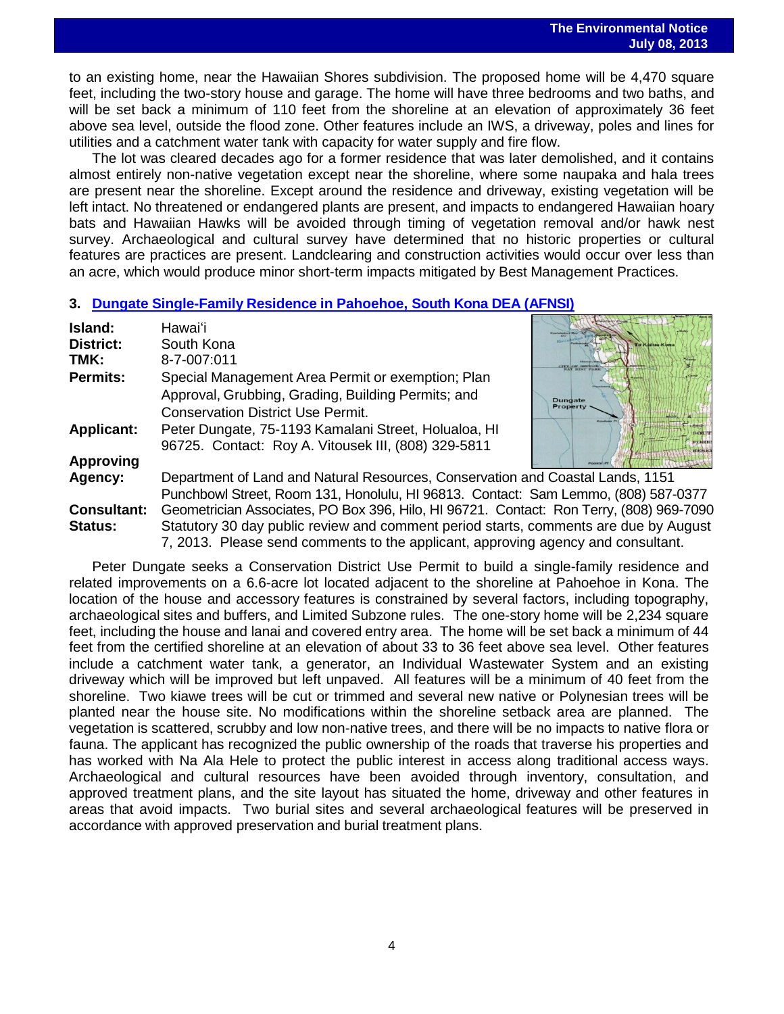to an existing home, near the Hawaiian Shores subdivision. The proposed home will be 4,470 square feet, including the two-story house and garage. The home will have three bedrooms and two baths, and will be set back a minimum of 110 feet from the shoreline at an elevation of approximately 36 feet above sea level, outside the flood zone. Other features include an IWS, a driveway, poles and lines for utilities and a catchment water tank with capacity for water supply and fire flow.

The lot was cleared decades ago for a former residence that was later demolished, and it contains almost entirely non-native vegetation except near the shoreline, where some naupaka and hala trees are present near the shoreline. Except around the residence and driveway, existing vegetation will be left intact. No threatened or endangered plants are present, and impacts to endangered Hawaiian hoary bats and Hawaiian Hawks will be avoided through timing of vegetation removal and/or hawk nest survey. Archaeological and cultural survey have determined that no historic properties or cultural features are practices are present. Landclearing and construction activities would occur over less than an acre, which would produce minor short-term impacts mitigated by Best Management Practices.

#### **3. Dungate Single-Family Residence in Pahoehoe, [South Kona DEA \(AFNSI\)](http://oeqc.doh.hawaii.gov/Shared%20Documents/EA_and_EIS_Online_Library/Hawaii/2010s/2013-07-08-HI-5E-DEA-Dungate-Single-Family-Residence-Pahoehoe-South-Kona.pdf)**

| Island:            | Hawaiʻi                                                                                 |                       |  |
|--------------------|-----------------------------------------------------------------------------------------|-----------------------|--|
| <b>District:</b>   | South Kona                                                                              | o Kailua-Kon          |  |
| TMK:               | 8-7-007:011                                                                             |                       |  |
| <b>Permits:</b>    | Special Management Area Permit or exemption; Plan                                       |                       |  |
|                    | Approval, Grubbing, Grading, Building Permits; and                                      | Dundate               |  |
|                    | <b>Conservation District Use Permit.</b>                                                | Property              |  |
| <b>Applicant:</b>  | Peter Dungate, 75-1193 Kamalani Street, Holualoa, HI                                    |                       |  |
|                    | 96725. Contact: Roy A. Vitousek III, (808) 329-5811                                     | <b>FOOTES</b><br>RESE |  |
| <b>Approving</b>   |                                                                                         |                       |  |
| Agency:            | Department of Land and Natural Resources, Conservation and Coastal Lands, 1151          |                       |  |
|                    | Punchbowl Street, Room 131, Honolulu, HI 96813. Contact: Sam Lemmo, (808) 587-0377      |                       |  |
| <b>Consultant:</b> | Geometrician Associates, PO Box 396, Hilo, HI 96721. Contact: Ron Terry, (808) 969-7090 |                       |  |
| <b>Status:</b>     | Statutory 30 day public review and comment period starts, comments are due by August    |                       |  |
|                    | 7, 2013. Please send comments to the applicant, approving agency and consultant.        |                       |  |

Peter Dungate seeks a Conservation District Use Permit to build a single-family residence and related improvements on a 6.6-acre lot located adjacent to the shoreline at Pahoehoe in Kona. The location of the house and accessory features is constrained by several factors, including topography, archaeological sites and buffers, and Limited Subzone rules. The one-story home will be 2,234 square feet, including the house and lanai and covered entry area. The home will be set back a minimum of 44 feet from the certified shoreline at an elevation of about 33 to 36 feet above sea level. Other features include a catchment water tank, a generator, an Individual Wastewater System and an existing driveway which will be improved but left unpaved. All features will be a minimum of 40 feet from the shoreline. Two kiawe trees will be cut or trimmed and several new native or Polynesian trees will be planted near the house site. No modifications within the shoreline setback area are planned. The vegetation is scattered, scrubby and low non-native trees, and there will be no impacts to native flora or fauna. The applicant has recognized the public ownership of the roads that traverse his properties and has worked with Na Ala Hele to protect the public interest in access along traditional access ways. Archaeological and cultural resources have been avoided through inventory, consultation, and approved treatment plans, and the site layout has situated the home, driveway and other features in areas that avoid impacts. Two burial sites and several archaeological features will be preserved in accordance with approved preservation and burial treatment plans.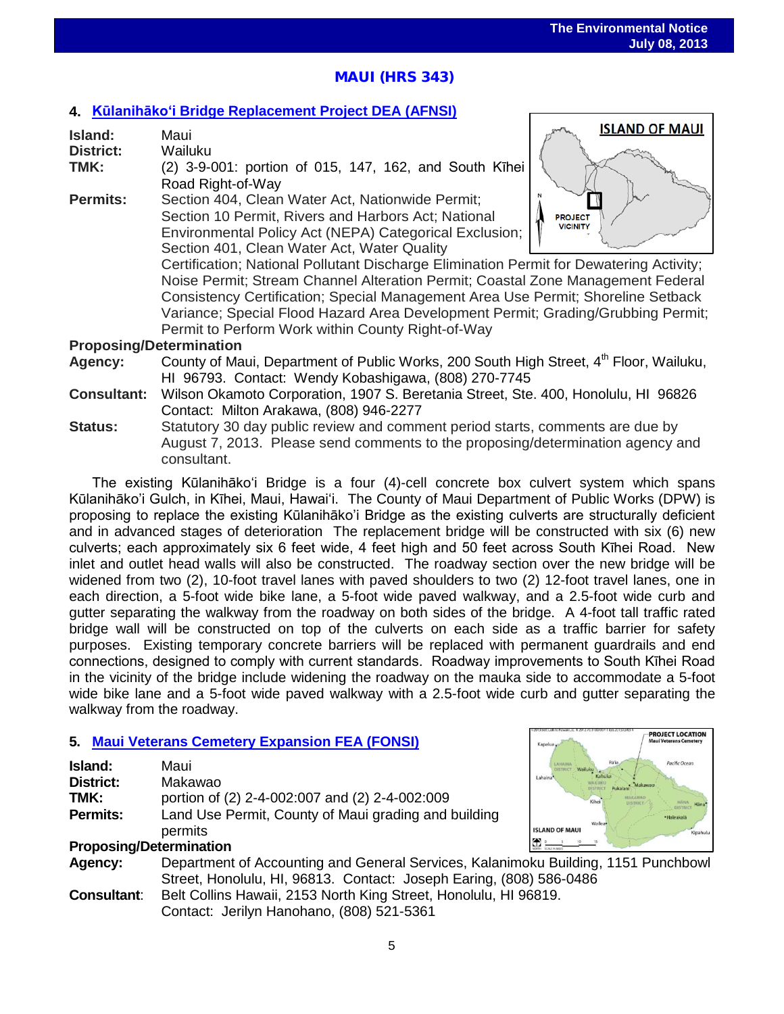**ISLAND OF MAUI** 

**PROJECT LOCATION** 

# **MAUI (HRS 343)**

## **4. Kūlanihākoʻ[i Bridge Replacement Project](http://oeqc.doh.hawaii.gov/Shared%20Documents/EA_and_EIS_Online_Library/Maui/2010s/2013-07-08-MA-5B-DEA-%20Kulanihakoi-Bridge-Replacement.pdf) DEA (AFNSI)**

| Island:          | Maui                                                                                    | <b>ISLAND OF MAUL</b> |
|------------------|-----------------------------------------------------------------------------------------|-----------------------|
| <b>District:</b> | Wailuku                                                                                 |                       |
| TMK:             | (2) 3-9-001: portion of 015, 147, 162, and South Kihei                                  |                       |
|                  | Road Right-of-Way                                                                       |                       |
| <b>Permits:</b>  | Section 404, Clean Water Act, Nationwide Permit;                                        |                       |
|                  | Section 10 Permit, Rivers and Harbors Act; National                                     | <b>PROJECT</b>        |
|                  | Environmental Policy Act (NEPA) Categorical Exclusion;                                  | <b>VICINITY</b>       |
|                  | Section 401, Clean Water Act, Water Quality                                             |                       |
|                  | Certification; National Pollutant Discharge Elimination Permit for Dewatering Activity; |                       |
|                  | Noise Permit; Stream Channel Alteration Permit; Coastal Zone Management Federal         |                       |
|                  | Consistency Certification; Special Management Area Use Permit; Shoreline Setback        |                       |
|                  | Variance; Special Flood Hazard Area Development Permit; Grading/Grubbing Permit;        |                       |

Permit to Perform Work within County Right-of-Way

### **Proposing/Determination**

- Agency: County of Maui, Department of Public Works, 200 South High Street, 4<sup>th</sup> Floor, Wailuku, HI 96793. Contact: Wendy Kobashigawa, (808) 270-7745
- **Consultant:** Wilson Okamoto Corporation, 1907 S. Beretania Street, Ste. 400, Honolulu, HI 96826 Contact: Milton Arakawa, (808) 946-2277
- **Status:** Statutory 30 day public review and comment period starts, comments are due by August 7, 2013. Please send comments to the proposing/determination agency and consultant.

The existing Kūlanihākoʻi Bridge is a four (4)-cell concrete box culvert system which spans Kūlanihāko'i Gulch, in Kīhei, Maui, Hawaiʻi. The County of Maui Department of Public Works (DPW) is proposing to replace the existing Kūlanihāko'i Bridge as the existing culverts are structurally deficient and in advanced stages of deterioration The replacement bridge will be constructed with six (6) new culverts; each approximately six 6 feet wide, 4 feet high and 50 feet across South Kīhei Road. New inlet and outlet head walls will also be constructed. The roadway section over the new bridge will be widened from two (2), 10-foot travel lanes with paved shoulders to two (2) 12-foot travel lanes, one in each direction, a 5-foot wide bike lane, a 5-foot wide paved walkway, and a 2.5-foot wide curb and gutter separating the walkway from the roadway on both sides of the bridge. A 4-foot tall traffic rated bridge wall will be constructed on top of the culverts on each side as a traffic barrier for safety purposes. Existing temporary concrete barriers will be replaced with permanent guardrails and end connections, designed to comply with current standards. Roadway improvements to South Kīhei Road in the vicinity of the bridge include widening the roadway on the mauka side to accommodate a 5-foot wide bike lane and a 5-foot wide paved walkway with a 2.5-foot wide curb and gutter separating the walkway from the roadway.

## **5. [Maui Veterans Cemetery Expansion FEA \(FONSI\)](http://oeqc.doh.hawaii.gov/Shared%20Documents/EA_and_EIS_Online_Library/Maui/2010s/2013-07-08-MA-5B-FEA-Maui-Veterans-Cemetery-Expansion.pdf)**

| Island:                        | Maui                                                                               | Pacific Ocean<br>Pá'ia            |
|--------------------------------|------------------------------------------------------------------------------------|-----------------------------------|
| <b>District:</b>               | Makawao                                                                            | Labaina<br>Makawac                |
| TMK:                           | portion of (2) 2-4-002:007 and (2) 2-4-002:009                                     | Kihei                             |
| <b>Permits:</b>                | Land Use Permit, County of Maui grading and building                               | ·Haleakali<br>Wailea <sup>®</sup> |
|                                | permits                                                                            | <b>ISLAND OF MAUI</b><br>Kipahulu |
| <b>Proposing/Determination</b> |                                                                                    |                                   |
| Agency:                        | Department of Accounting and General Services, Kalanimoku Building, 1151 Punchbowl |                                   |
|                                | Street, Honolulu, HI, 96813. Contact: Joseph Earing, (808) 586-0486                |                                   |
| <b>Consultant:</b>             | Belt Collins Hawaii, 2153 North King Street, Honolulu, HI 96819.                   |                                   |

Contact: Jerilyn Hanohano, (808) 521-5361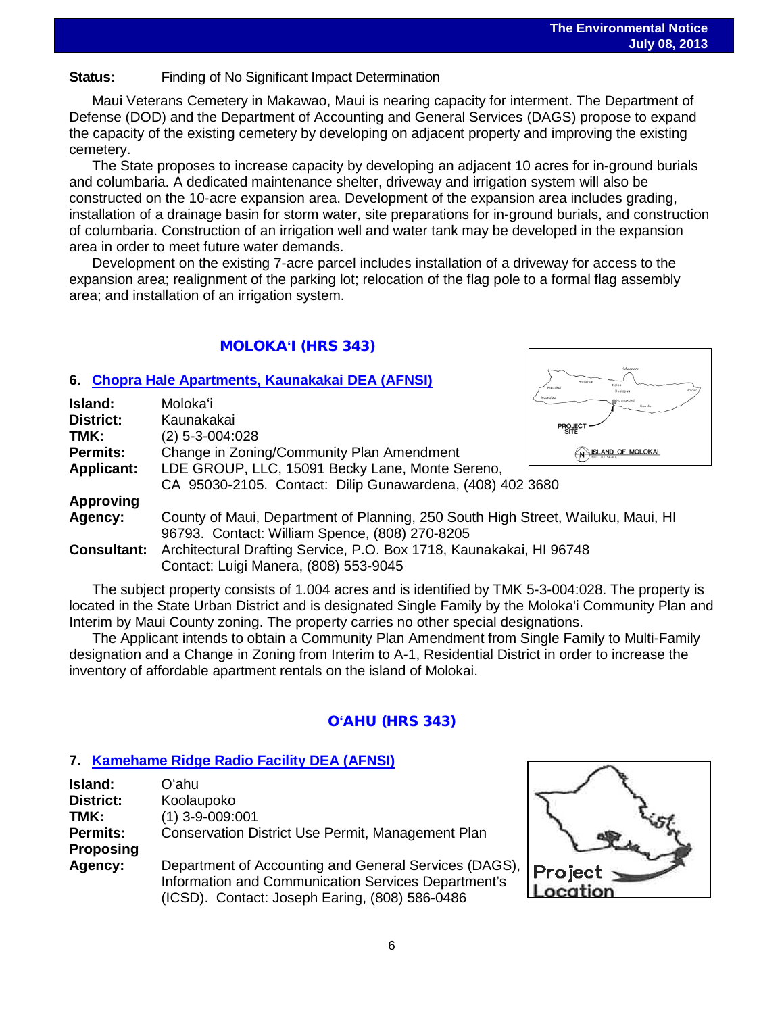# **Status:** Finding of No Significant Impact Determination

Maui Veterans Cemetery in Makawao, Maui is nearing capacity for interment. The Department of Defense (DOD) and the Department of Accounting and General Services (DAGS) propose to expand the capacity of the existing cemetery by developing on adjacent property and improving the existing cemetery.

The State proposes to increase capacity by developing an adjacent 10 acres for in-ground burials and columbaria. A dedicated maintenance shelter, driveway and irrigation system will also be constructed on the 10-acre expansion area. Development of the expansion area includes grading, installation of a drainage basin for storm water, site preparations for in-ground burials, and construction of columbaria. Construction of an irrigation well and water tank may be developed in the expansion area in order to meet future water demands.

Development on the existing 7-acre parcel includes installation of a driveway for access to the expansion area; realignment of the parking lot; relocation of the flag pole to a formal flag assembly area; and installation of an irrigation system.

## MOLOKA**ʻ**I (HRS 343)

#### **6. [Chopra Hale Apartments, Kaunakakai DEA \(AFNSI\)](http://oeqc.doh.hawaii.gov/Shared%20Documents/EA_and_EIS_Online_Library/Molokai/2010s/2013-07-08-MO-5E-DEA-Chopra-Hale-Apartments-in-Kaunakakai.pdf)**

| Island:            | Molokaʻi                                                                         | Mounaloo<br>Kowela      |  |
|--------------------|----------------------------------------------------------------------------------|-------------------------|--|
| <b>District:</b>   | Kaunakakai                                                                       | <b>PROJECT</b>          |  |
| TMK:               | $(2)$ 5-3-004:028                                                                | <b>SITE</b>             |  |
| <b>Permits:</b>    | Change in Zoning/Community Plan Amendment                                        | $(n)$ ISLAND OF MOLOKAL |  |
| <b>Applicant:</b>  | LDE GROUP, LLC, 15091 Becky Lane, Monte Sereno,                                  |                         |  |
|                    | CA 95030-2105. Contact: Dilip Gunawardena, (408) 402 3680                        |                         |  |
| <b>Approving</b>   |                                                                                  |                         |  |
| Agency:            | County of Maui, Department of Planning, 250 South High Street, Wailuku, Maui, HI |                         |  |
|                    | 96793. Contact: William Spence, (808) 270-8205                                   |                         |  |
| <b>Consultant:</b> | Architectural Drafting Service, P.O. Box 1718, Kaunakakai, HI 96748              |                         |  |
|                    | Contact: Luigi Manera, (808) 553-9045                                            |                         |  |

The subject property consists of 1.004 acres and is identified by TMK 5-3-004:028. The property is located in the State Urban District and is designated Single Family by the Moloka'i Community Plan and Interim by Maui County zoning. The property carries no other special designations.

The Applicant intends to obtain a Community Plan Amendment from Single Family to Multi-Family designation and a Change in Zoning from Interim to A-1, Residential District in order to increase the inventory of affordable apartment rentals on the island of Molokai.

## O**ʻ**AHU (HRS 343)

## **7. [Kamehame Ridge Radio Facility](http://oeqc.doh.hawaii.gov/Shared%20Documents/EA_and_EIS_Online_Library/Oahu/2010s/2013-07-08-OA-5B-DEA-Kamehameha-Ridge-Radio-Facility.pdf) DEA (AFNSI)**

| Island:         | Oʻahu                                                 |
|-----------------|-------------------------------------------------------|
| District:       | Koolaupoko                                            |
| TMK:            | $(1)$ 3-9-009:001                                     |
| <b>Permits:</b> | Conservation District Use Permit, Management Plan     |
| Proposing       |                                                       |
| Agency:         | Department of Accounting and General Services (DAGS), |
|                 | Information and Communication Services Department's   |
|                 | (ICSD). Contact: Joseph Earing, (808) 586-0486        |

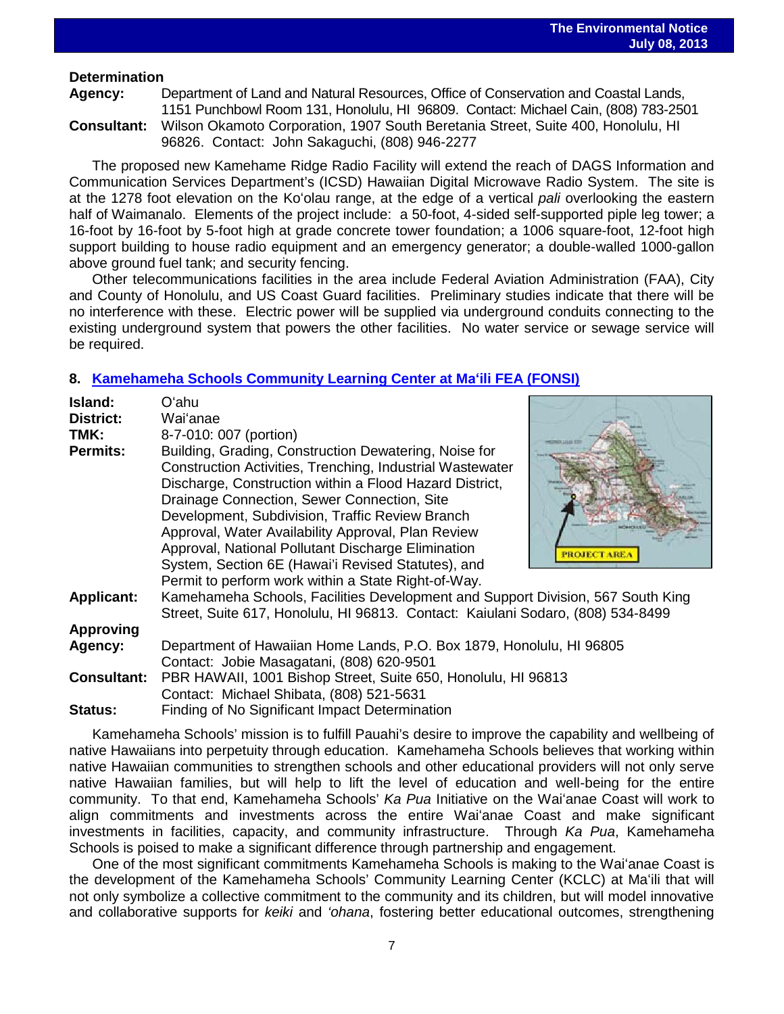### **Determination**

**Agency:** Department of Land and Natural Resources, Office of Conservation and Coastal Lands, 1151 Punchbowl Room 131, Honolulu, HI 96809. Contact: Michael Cain, (808) 783-2501 **Consultant:** Wilson Okamoto Corporation, 1907 South Beretania Street, Suite 400, Honolulu, HI 96826. Contact: John Sakaguchi, (808) 946-2277

The proposed new Kamehame Ridge Radio Facility will extend the reach of DAGS Information and Communication Services Department's (ICSD) Hawaiian Digital Microwave Radio System. The site is at the 1278 foot elevation on the Koʻolau range, at the edge of a vertical *pali* overlooking the eastern half of Waimanalo. Elements of the project include: a 50-foot, 4-sided self-supported piple leg tower; a 16-foot by 16-foot by 5-foot high at grade concrete tower foundation; a 1006 square-foot, 12-foot high support building to house radio equipment and an emergency generator; a double-walled 1000-gallon above ground fuel tank; and security fencing.

Other telecommunications facilities in the area include Federal Aviation Administration (FAA), City and County of Honolulu, and US Coast Guard facilities. Preliminary studies indicate that there will be no interference with these. Electric power will be supplied via underground conduits connecting to the existing underground system that powers the other facilities. No water service or sewage service will be required.

## **8. [Kamehameha Schools Community Learning Center at M](http://oeqc.doh.hawaii.gov/Shared%20Documents/EA_and_EIS_Online_Library/Oahu/2010s/2013-07-08-OA-5E-FEA-Kamehameha-Schools-Community-Learning-Center-Maili.pdf)aʻili FEA (FONSI)**

| Island:<br>District: | Oʻahu<br>Waiʻanae                                                                                                                                                                                                                                                                                                                                                                           |  |
|----------------------|---------------------------------------------------------------------------------------------------------------------------------------------------------------------------------------------------------------------------------------------------------------------------------------------------------------------------------------------------------------------------------------------|--|
| TMK:                 | 8-7-010: 007 (portion)                                                                                                                                                                                                                                                                                                                                                                      |  |
| <b>Permits:</b>      | Building, Grading, Construction Dewatering, Noise for<br>Construction Activities, Trenching, Industrial Wastewater<br>Discharge, Construction within a Flood Hazard District,<br>Drainage Connection, Sewer Connection, Site<br>Development, Subdivision, Traffic Review Branch<br>Approval, Water Availability Approval, Plan Review<br>Approval, National Pollutant Discharge Elimination |  |
|                      | <b>PROJECT ARE</b><br>System, Section 6E (Hawai'i Revised Statutes), and                                                                                                                                                                                                                                                                                                                    |  |
|                      | Permit to perform work within a State Right-of-Way.                                                                                                                                                                                                                                                                                                                                         |  |
| <b>Applicant:</b>    | Kamehameha Schools, Facilities Development and Support Division, 567 South King<br>Street, Suite 617, Honolulu, HI 96813. Contact: Kaiulani Sodaro, (808) 534-8499                                                                                                                                                                                                                          |  |
| <b>Approving</b>     |                                                                                                                                                                                                                                                                                                                                                                                             |  |
| Agency:              | Department of Hawaiian Home Lands, P.O. Box 1879, Honolulu, HI 96805<br>Contact: Jobie Masagatani, (808) 620-9501                                                                                                                                                                                                                                                                           |  |
| <b>Consultant:</b>   | PBR HAWAII, 1001 Bishop Street, Suite 650, Honolulu, HI 96813<br>Contact: Michael Shibata, (808) 521-5631                                                                                                                                                                                                                                                                                   |  |
| Statue:              | Einding of No Significant Impact Determination                                                                                                                                                                                                                                                                                                                                              |  |

**Status:** Finding of No Significant Impact Determination Kamehameha Schools' mission is to fulfill Pauahi's desire to improve the capability and wellbeing of native Hawaiians into perpetuity through education. Kamehameha Schools believes that working within native Hawaiian communities to strengthen schools and other educational providers will not only serve native Hawaiian families, but will help to lift the level of education and well-being for the entire community. To that end, Kamehameha Schools' *Ka Pua* Initiative on the Waiʻanae Coast will work to align commitments and investments across the entire Waiʻanae Coast and make significant investments in facilities, capacity, and community infrastructure. Through *Ka Pua*, Kamehameha Schools is poised to make a significant difference through partnership and engagement.

One of the most significant commitments Kamehameha Schools is making to the Waiʻanae Coast is the development of the Kamehameha Schools' Community Learning Center (KCLC) at Maʻili that will not only symbolize a collective commitment to the community and its children, but will model innovative and collaborative supports for *keiki* and *'ohana*, fostering better educational outcomes, strengthening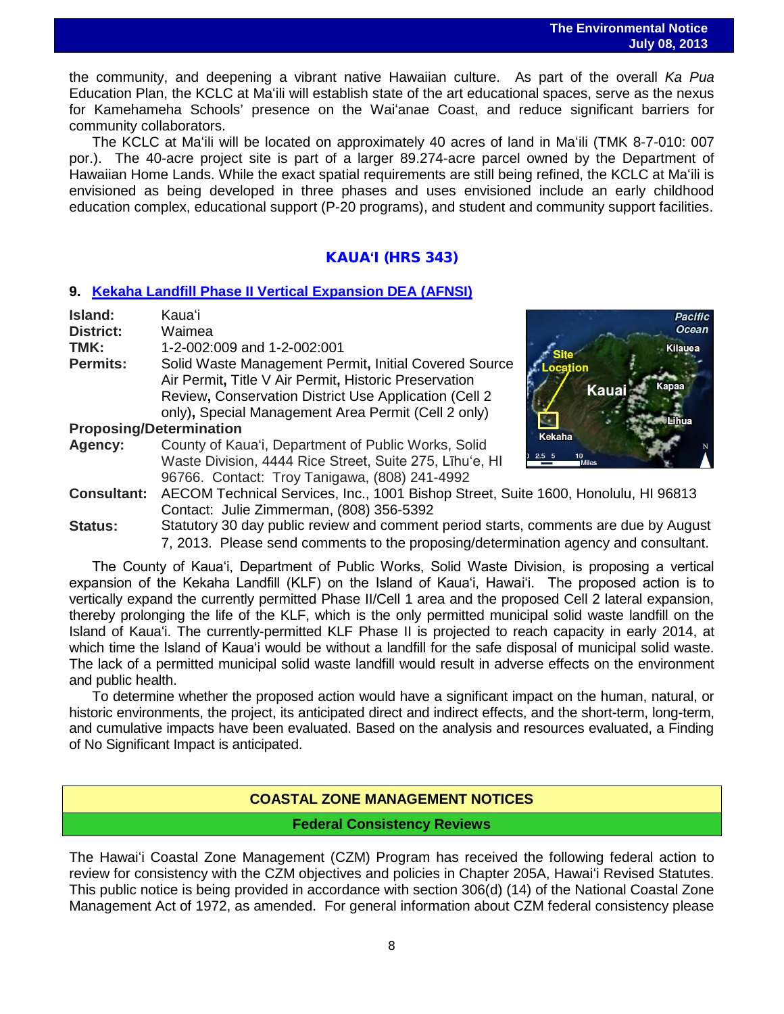the community, and deepening a vibrant native Hawaiian culture. As part of the overall *Ka Pua* Education Plan, the KCLC at Maʻili will establish state of the art educational spaces, serve as the nexus for Kamehameha Schools' presence on the Waiʻanae Coast, and reduce significant barriers for community collaborators.

The KCLC at Maʻili will be located on approximately 40 acres of land in Maʻili (TMK 8-7-010: 007 por.). The 40-acre project site is part of a larger 89.274-acre parcel owned by the Department of Hawaiian Home Lands. While the exact spatial requirements are still being refined, the KCLC at Maʻili is envisioned as being developed in three phases and uses envisioned include an early childhood education complex, educational support (P-20 programs), and student and community support facilities.

## KAUA**ʻ**I (HRS 343)

#### **9. [Kekaha Landfill Phase II Vertical Expansion DEA \(AFNSI\)](http://oeqc.doh.hawaii.gov/Shared%20Documents/EA_and_EIS_Online_Library/Kauai/2010s/2013-07-08-KA-5B-DEA-Kekaha-Landfill-Phase-II-Expansion.pdf)**

| Island:            | Kauaʻi                                                                                                                                                                                                                          | <b>Pacific</b>                                            |
|--------------------|---------------------------------------------------------------------------------------------------------------------------------------------------------------------------------------------------------------------------------|-----------------------------------------------------------|
| <b>District:</b>   | Waimea                                                                                                                                                                                                                          | <b>Ocean</b>                                              |
| TMK:               | 1-2-002:009 and 1-2-002:001                                                                                                                                                                                                     | Kilauea                                                   |
| <b>Permits:</b>    | Solid Waste Management Permit, Initial Covered Source<br>Air Permit, Title V Air Permit, Historic Preservation<br>Review, Conservation District Use Application (Cell 2)<br>only), Special Management Area Permit (Cell 2 only) | Location<br>Kanaa<br>Kauai                                |
|                    | <b>Proposing/Determination</b>                                                                                                                                                                                                  |                                                           |
| <b>Agency:</b>     | County of Kaua'i, Department of Public Works, Solid<br>Waste Division, 4444 Rice Street, Suite 275, Lihu'e, HI<br>96766. Contact: Troy Tanigawa, (808) 241-4992                                                                 | Kekaha<br>$2.5\quad 5$<br>10 <sup>1</sup><br><b>Miles</b> |
| <b>Consultant:</b> | AECOM Technical Services, Inc., 1001 Bishop Street, Suite 1600, Honolulu, HI 96813<br>Contact: Julie Zimmerman, (808) 356-5392                                                                                                  |                                                           |
| $Q_{\text{full}}$  | Statutory 30 day public review and comment period starts, comments are due by August                                                                                                                                            |                                                           |

**Status:** Statutory 30 day public review and comment period starts, comments are due by August 7, 2013. Please send comments to the proposing/determination agency and consultant.

The County of Kauaʻi, Department of Public Works, Solid Waste Division, is proposing a vertical expansion of the Kekaha Landfill (KLF) on the Island of Kauaʻi, Hawaiʻi. The proposed action is to vertically expand the currently permitted Phase II/Cell 1 area and the proposed Cell 2 lateral expansion, thereby prolonging the life of the KLF, which is the only permitted municipal solid waste landfill on the Island of Kauaʻi. The currently-permitted KLF Phase II is projected to reach capacity in early 2014, at which time the Island of Kauaʻi would be without a landfill for the safe disposal of municipal solid waste. The lack of a permitted municipal solid waste landfill would result in adverse effects on the environment and public health.

To determine whether the proposed action would have a significant impact on the human, natural, or historic environments, the project, its anticipated direct and indirect effects, and the short-term, long-term, and cumulative impacts have been evaluated. Based on the analysis and resources evaluated, a Finding of No Significant Impact is anticipated.

## **COASTAL ZONE MANAGEMENT NOTICES**

**Federal Consistency Reviews**

The Hawaiʻi Coastal Zone Management (CZM) Program has received the following federal action to review for consistency with the CZM objectives and policies in Chapter 205A, Hawaiʻi Revised Statutes. This public notice is being provided in accordance with section 306(d) (14) of the National Coastal Zone Management Act of 1972, as amended. For general information about CZM federal consistency please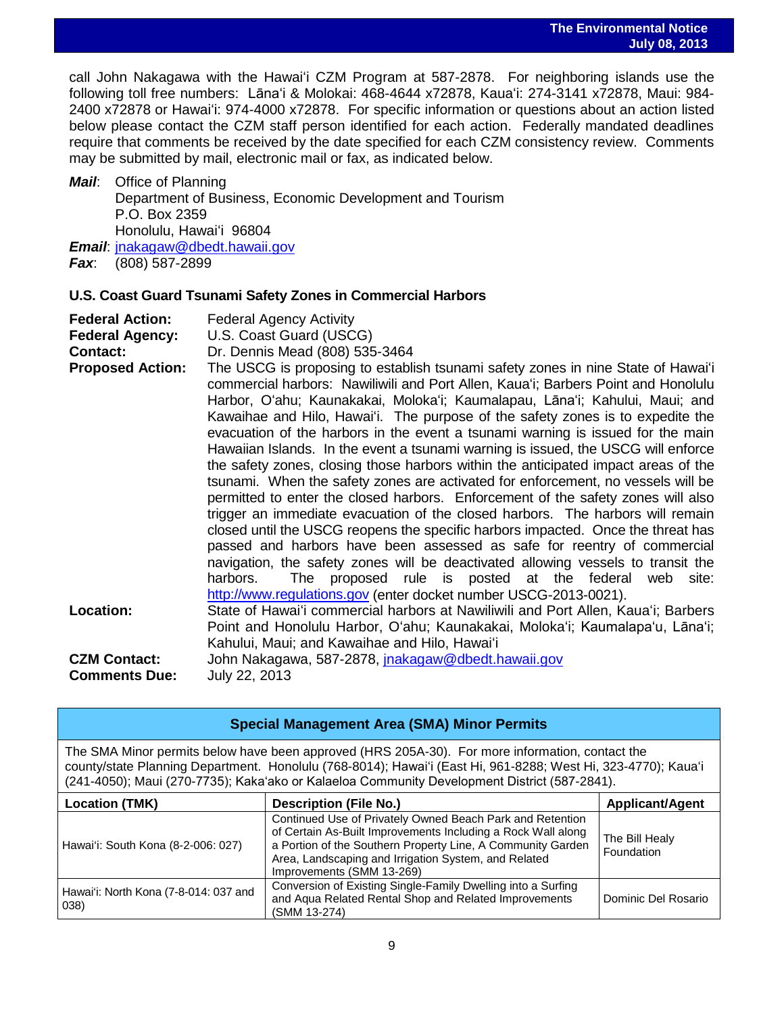call John Nakagawa with the Hawaiʻi CZM Program at 587-2878. For neighboring islands use the following toll free numbers: Lānaʻi & Molokai: 468-4644 x72878, Kauaʻi: 274-3141 x72878, Maui: 984- 2400 x72878 or Hawaiʻi: 974-4000 x72878. For specific information or questions about an action listed below please contact the CZM staff person identified for each action. Federally mandated deadlines require that comments be received by the date specified for each CZM consistency review. Comments may be submitted by mail, electronic mail or fax, as indicated below.

*Mail*: Office of Planning Department of Business, Economic Development and Tourism P.O. Box 2359 Honolulu, Hawaiʻi 96804 *Email*: [jnakagaw@dbedt.hawaii.gov](mailto:jnakagaw@dbedt.hawaii.gov)

*Fax*: (808) 587-2899

## **U.S. Coast Guard Tsunami Safety Zones in Commercial Harbors**

| <b>Federal Action:</b>                                                                                                                                                                                                                                                                                                                                                                                                                                                                                                                                                                                                                                                                                                                                                                                                                                                                                                                                                                                                                                                                                                                                                                                           | <b>Federal Agency Activity</b>                                                                                                                                                                                                                                                         |
|------------------------------------------------------------------------------------------------------------------------------------------------------------------------------------------------------------------------------------------------------------------------------------------------------------------------------------------------------------------------------------------------------------------------------------------------------------------------------------------------------------------------------------------------------------------------------------------------------------------------------------------------------------------------------------------------------------------------------------------------------------------------------------------------------------------------------------------------------------------------------------------------------------------------------------------------------------------------------------------------------------------------------------------------------------------------------------------------------------------------------------------------------------------------------------------------------------------|----------------------------------------------------------------------------------------------------------------------------------------------------------------------------------------------------------------------------------------------------------------------------------------|
| <b>Federal Agency:</b>                                                                                                                                                                                                                                                                                                                                                                                                                                                                                                                                                                                                                                                                                                                                                                                                                                                                                                                                                                                                                                                                                                                                                                                           | U.S. Coast Guard (USCG)                                                                                                                                                                                                                                                                |
| <b>Contact:</b>                                                                                                                                                                                                                                                                                                                                                                                                                                                                                                                                                                                                                                                                                                                                                                                                                                                                                                                                                                                                                                                                                                                                                                                                  | Dr. Dennis Mead (808) 535-3464                                                                                                                                                                                                                                                         |
| <b>Proposed Action:</b><br>The USCG is proposing to establish tsunami safety zones in nine State of Hawai'i<br>commercial harbors: Nawiliwili and Port Allen, Kaua'i; Barbers Point and Honolulu<br>Harbor, Oʻahu; Kaunakakai, Molokaʻi; Kaumalapau, Lānaʻi; Kahului, Maui; and<br>Kawaihae and Hilo, Hawai'i. The purpose of the safety zones is to expedite the<br>evacuation of the harbors in the event a tsunami warning is issued for the main<br>Hawaiian Islands. In the event a tsunami warning is issued, the USCG will enforce<br>the safety zones, closing those harbors within the anticipated impact areas of the<br>tsunami. When the safety zones are activated for enforcement, no vessels will be<br>permitted to enter the closed harbors. Enforcement of the safety zones will also<br>trigger an immediate evacuation of the closed harbors. The harbors will remain<br>closed until the USCG reopens the specific harbors impacted. Once the threat has<br>passed and harbors have been assessed as safe for reentry of commercial<br>navigation, the safety zones will be deactivated allowing vessels to transit the<br>The proposed rule is posted at the federal web site:<br>harbors. |                                                                                                                                                                                                                                                                                        |
| Location:                                                                                                                                                                                                                                                                                                                                                                                                                                                                                                                                                                                                                                                                                                                                                                                                                                                                                                                                                                                                                                                                                                                                                                                                        | http://www.regulations.gov (enter docket number USCG-2013-0021).<br>State of Hawai'i commercial harbors at Nawiliwili and Port Allen, Kaua'i; Barbers<br>Point and Honolulu Harbor, O'ahu; Kaunakakai, Moloka'i; Kaumalapa'u, Lāna'i;<br>Kahului, Maui; and Kawaihae and Hilo, Hawai'i |
| <b>CZM Contact:</b><br><b>Comments Due:</b>                                                                                                                                                                                                                                                                                                                                                                                                                                                                                                                                                                                                                                                                                                                                                                                                                                                                                                                                                                                                                                                                                                                                                                      | John Nakagawa, 587-2878, jnakagaw@dbedt.hawaii.gov<br>July 22, 2013                                                                                                                                                                                                                    |

| <b>Special Management Area (SMA) Minor Permits</b>                                                                                                                                                                                                                                                               |                                                                                                                                                                                                                                                                               |                              |  |
|------------------------------------------------------------------------------------------------------------------------------------------------------------------------------------------------------------------------------------------------------------------------------------------------------------------|-------------------------------------------------------------------------------------------------------------------------------------------------------------------------------------------------------------------------------------------------------------------------------|------------------------------|--|
| The SMA Minor permits below have been approved (HRS 205A-30). For more information, contact the<br>county/state Planning Department. Honolulu (768-8014); Hawai'i (East Hi, 961-8288; West Hi, 323-4770); Kaua'i<br>(241-4050); Maui (270-7735); Kaka'ako or Kalaeloa Community Development District (587-2841). |                                                                                                                                                                                                                                                                               |                              |  |
| <b>Location (TMK)</b><br><b>Description (File No.)</b><br><b>Applicant/Agent</b>                                                                                                                                                                                                                                 |                                                                                                                                                                                                                                                                               |                              |  |
| Hawai'i: South Kona (8-2-006: 027)                                                                                                                                                                                                                                                                               | Continued Use of Privately Owned Beach Park and Retention<br>of Certain As-Built Improvements Including a Rock Wall along<br>a Portion of the Southern Property Line, A Community Garden<br>Area, Landscaping and Irrigation System, and Related<br>Improvements (SMM 13-269) | The Bill Healy<br>Foundation |  |
| Hawai'i: North Kona (7-8-014: 037 and<br>038)                                                                                                                                                                                                                                                                    | Conversion of Existing Single-Family Dwelling into a Surfing<br>and Aqua Related Rental Shop and Related Improvements<br>(SMM 13-274)                                                                                                                                         | Dominic Del Rosario          |  |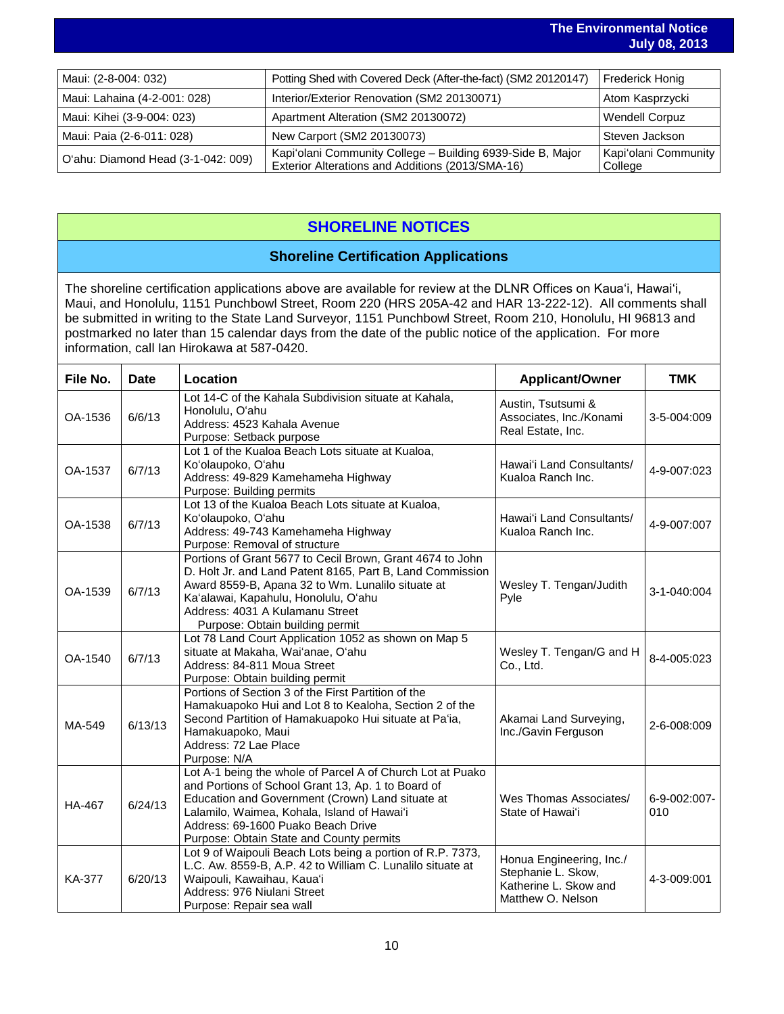|                                    |                                                                                                                | $0.41$ y $0.44$ and $0.01$      |
|------------------------------------|----------------------------------------------------------------------------------------------------------------|---------------------------------|
|                                    |                                                                                                                |                                 |
| Maui: (2-8-004: 032)               | Potting Shed with Covered Deck (After-the-fact) (SM2 20120147)                                                 | <b>Frederick Honig</b>          |
| Maui: Lahaina (4-2-001: 028)       | Interior/Exterior Renovation (SM2 20130071)                                                                    | Atom Kasprzycki                 |
| Maui: Kihei (3-9-004: 023)         | Apartment Alteration (SM2 20130072)                                                                            | <b>Wendell Corpuz</b>           |
| Maui: Paia (2-6-011: 028)          | New Carport (SM2 20130073)                                                                                     | Steven Jackson                  |
| O'ahu: Diamond Head (3-1-042: 009) | Kapi'olani Community College - Building 6939-Side B, Major<br>Exterior Alterations and Additions (2013/SMA-16) | Kapi'olani Community<br>College |

# **SHORELINE NOTICES**

## **Shoreline Certification Applications**

The shoreline certification applications above are available for review at the DLNR Offices on Kauaʻi, Hawaiʻi, Maui, and Honolulu, 1151 Punchbowl Street, Room 220 (HRS 205A-42 and HAR 13-222-12). All comments shall be submitted in writing to the State Land Surveyor, 1151 Punchbowl Street, Room 210, Honolulu, HI 96813 and postmarked no later than 15 calendar days from the date of the public notice of the application. For more information, call Ian Hirokawa at 587-0420.

| File No.      | <b>Date</b> | Location                                                                                                                                                                                                                                                                                              | <b>Applicant/Owner</b>                                                                       | <b>TMK</b>          |
|---------------|-------------|-------------------------------------------------------------------------------------------------------------------------------------------------------------------------------------------------------------------------------------------------------------------------------------------------------|----------------------------------------------------------------------------------------------|---------------------|
| OA-1536       | 6/6/13      | Lot 14-C of the Kahala Subdivision situate at Kahala,<br>Honolulu, O'ahu<br>Address: 4523 Kahala Avenue<br>Purpose: Setback purpose                                                                                                                                                                   | Austin, Tsutsumi &<br>Associates, Inc./Konami<br>Real Estate, Inc.                           | 3-5-004:009         |
| OA-1537       | 6/7/13      | Lot 1 of the Kualoa Beach Lots situate at Kualoa,<br>Ko'olaupoko, O'ahu<br>Address: 49-829 Kamehameha Highway<br>Purpose: Building permits                                                                                                                                                            | Hawai'i Land Consultants/<br>Kualoa Ranch Inc.                                               | 4-9-007:023         |
| OA-1538       | 6/7/13      | Lot 13 of the Kualoa Beach Lots situate at Kualoa,<br>Ko'olaupoko, O'ahu<br>Address: 49-743 Kamehameha Highway<br>Purpose: Removal of structure                                                                                                                                                       | Hawai'i Land Consultants/<br>Kualoa Ranch Inc.                                               | 4-9-007:007         |
| OA-1539       | 6/7/13      | Portions of Grant 5677 to Cecil Brown, Grant 4674 to John<br>D. Holt Jr. and Land Patent 8165, Part B, Land Commission<br>Award 8559-B, Apana 32 to Wm. Lunalilo situate at<br>Ka'alawai, Kapahulu, Honolulu, O'ahu<br>Address: 4031 A Kulamanu Street<br>Purpose: Obtain building permit             | Wesley T. Tengan/Judith<br>Pyle                                                              | 3-1-040:004         |
| OA-1540       | 6/7/13      | Lot 78 Land Court Application 1052 as shown on Map 5<br>situate at Makaha, Wai'anae, O'ahu<br>Address: 84-811 Moua Street<br>Purpose: Obtain building permit                                                                                                                                          | Wesley T. Tengan/G and H<br>Co., Ltd.                                                        | 8-4-005:023         |
| MA-549        | 6/13/13     | Portions of Section 3 of the First Partition of the<br>Hamakuapoko Hui and Lot 8 to Kealoha, Section 2 of the<br>Second Partition of Hamakuapoko Hui situate at Pa'ia,<br>Hamakuapoko, Maui<br>Address: 72 Lae Place<br>Purpose: N/A                                                                  | Akamai Land Surveying,<br>Inc./Gavin Ferguson                                                | 2-6-008:009         |
| HA-467        | 6/24/13     | Lot A-1 being the whole of Parcel A of Church Lot at Puako<br>and Portions of School Grant 13, Ap. 1 to Board of<br>Education and Government (Crown) Land situate at<br>Lalamilo, Waimea, Kohala, Island of Hawai'i<br>Address: 69-1600 Puako Beach Drive<br>Purpose: Obtain State and County permits | Wes Thomas Associates/<br>State of Hawai'i                                                   | 6-9-002:007-<br>010 |
| <b>KA-377</b> | 6/20/13     | Lot 9 of Waipouli Beach Lots being a portion of R.P. 7373,<br>L.C. Aw. 8559-B, A.P. 42 to William C. Lunalilo situate at<br>Waipouli, Kawaihau, Kaua'i<br>Address: 976 Niulani Street<br>Purpose: Repair sea wall                                                                                     | Honua Engineering, Inc./<br>Stephanie L. Skow,<br>Katherine L. Skow and<br>Matthew O. Nelson | 4-3-009:001         |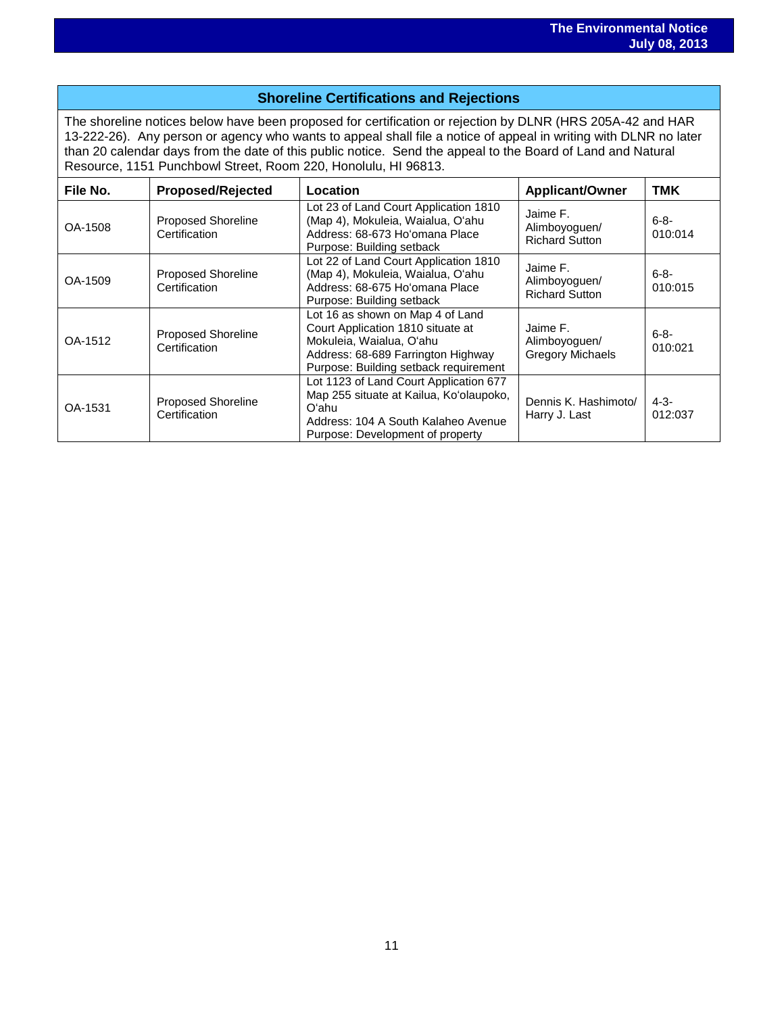## **Shoreline Certifications and Rejections**

The shoreline notices below have been proposed for certification or rejection by DLNR (HRS 205A-42 and HAR 13-222-26). Any person or agency who wants to appeal shall file a notice of appeal in writing with DLNR no later than 20 calendar days from the date of this public notice. Send the appeal to the Board of Land and Natural Resource, 1151 Punchbowl Street, Room 220, Honolulu, HI 96813.

| File No. | <b>Proposed/Rejected</b>                   | Location                                                                                                                                                                         | <b>Applicant/Owner</b>                               | <b>TMK</b>           |
|----------|--------------------------------------------|----------------------------------------------------------------------------------------------------------------------------------------------------------------------------------|------------------------------------------------------|----------------------|
| OA-1508  | <b>Proposed Shoreline</b><br>Certification | Lot 23 of Land Court Application 1810<br>(Map 4), Mokuleia, Waialua, O'ahu<br>Address: 68-673 Ho'omana Place<br>Purpose: Building setback                                        | Jaime F.<br>Alimboyoguen/<br><b>Richard Sutton</b>   | $6 - 8 -$<br>010:014 |
| OA-1509  | <b>Proposed Shoreline</b><br>Certification | Lot 22 of Land Court Application 1810<br>(Map 4), Mokuleia, Waialua, O'ahu<br>Address: 68-675 Ho'omana Place<br>Purpose: Building setback                                        | Jaime F.<br>Alimboyoguen/<br><b>Richard Sutton</b>   | 6-8-<br>010:015      |
| OA-1512  | <b>Proposed Shoreline</b><br>Certification | Lot 16 as shown on Map 4 of Land<br>Court Application 1810 situate at<br>Mokuleia, Waialua, O'ahu<br>Address: 68-689 Farrington Highway<br>Purpose: Building setback requirement | Jaime F.<br>Alimboyoguen/<br><b>Gregory Michaels</b> | $6 - 8 -$<br>010:021 |
| OA-1531  | <b>Proposed Shoreline</b><br>Certification | Lot 1123 of Land Court Application 677<br>Map 255 situate at Kailua, Ko'olaupoko,<br>O'ahu<br>Address: 104 A South Kalaheo Avenue<br>Purpose: Development of property            | Dennis K. Hashimoto/<br>Harry J. Last                | $4 - 3 -$<br>012:037 |